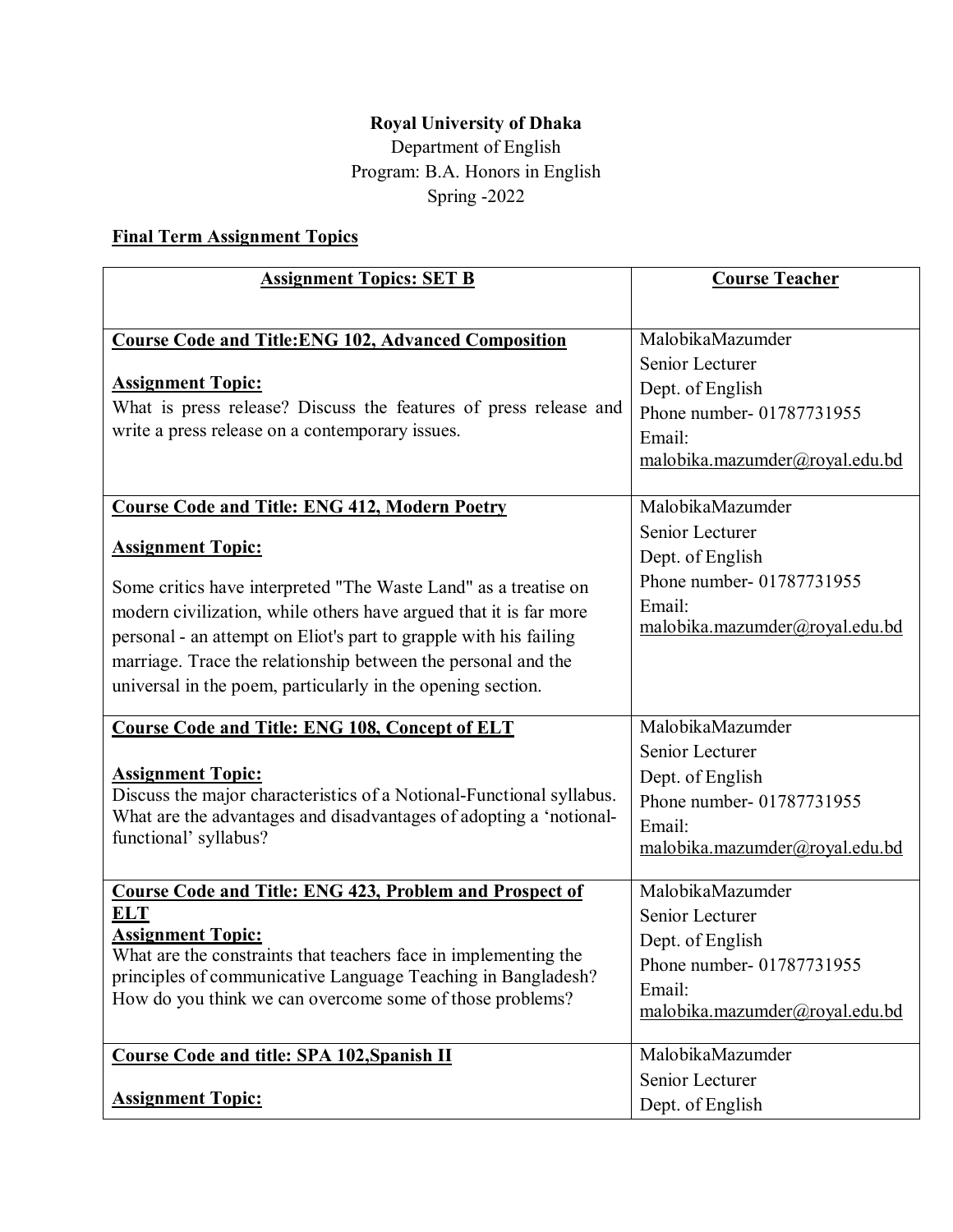## Royal University of Dhaka

Department of English Program: B.A. Honors in English Spring -2022

## Final Term Assignment Topics

| <b>Assignment Topics: SET B</b>                                                                                                                                                                                                                                                                                                                                       | <b>Course Teacher</b>                                                                                                            |
|-----------------------------------------------------------------------------------------------------------------------------------------------------------------------------------------------------------------------------------------------------------------------------------------------------------------------------------------------------------------------|----------------------------------------------------------------------------------------------------------------------------------|
|                                                                                                                                                                                                                                                                                                                                                                       |                                                                                                                                  |
| <b>Course Code and Title: ENG 102, Advanced Composition</b>                                                                                                                                                                                                                                                                                                           | MalobikaMazumder                                                                                                                 |
| <b>Assignment Topic:</b><br>What is press release? Discuss the features of press release and<br>write a press release on a contemporary issues.                                                                                                                                                                                                                       | Senior Lecturer<br>Dept. of English<br>Phone number- 01787731955<br>Email:<br>malobika.mazumder@royal.edu.bd                     |
| <b>Course Code and Title: ENG 412, Modern Poetry</b>                                                                                                                                                                                                                                                                                                                  | MalobikaMazumder                                                                                                                 |
| <b>Assignment Topic:</b><br>Some critics have interpreted "The Waste Land" as a treatise on<br>modern civilization, while others have argued that it is far more<br>personal - an attempt on Eliot's part to grapple with his failing<br>marriage. Trace the relationship between the personal and the<br>universal in the poem, particularly in the opening section. | Senior Lecturer<br>Dept. of English<br>Phone number- 01787731955<br>Email:<br>malobika.mazumder@royal.edu.bd                     |
| <b>Course Code and Title: ENG 108, Concept of ELT</b>                                                                                                                                                                                                                                                                                                                 | MalobikaMazumder                                                                                                                 |
| <b>Assignment Topic:</b><br>Discuss the major characteristics of a Notional-Functional syllabus.<br>What are the advantages and disadvantages of adopting a 'notional-<br>functional' syllabus?                                                                                                                                                                       | Senior Lecturer<br>Dept. of English<br>Phone number- 01787731955<br>Email:<br>malobika.mazumder@royal.edu.bd                     |
| <b>Course Code and Title: ENG 423, Problem and Prospect of</b><br><b>ELT</b><br><b>Assignment Topic:</b><br>What are the constraints that teachers face in implementing the<br>principles of communicative Language Teaching in Bangladesh?<br>How do you think we can overcome some of those problems?                                                               | MalobikaMazumder<br>Senior Lecturer<br>Dept. of English<br>Phone number- 01787731955<br>Email:<br>malobika.mazumder@royal.edu.bd |
| <b>Course Code and title: SPA 102, Spanish II</b>                                                                                                                                                                                                                                                                                                                     | MalobikaMazumder                                                                                                                 |
| <b>Assignment Topic:</b>                                                                                                                                                                                                                                                                                                                                              | Senior Lecturer<br>Dept. of English                                                                                              |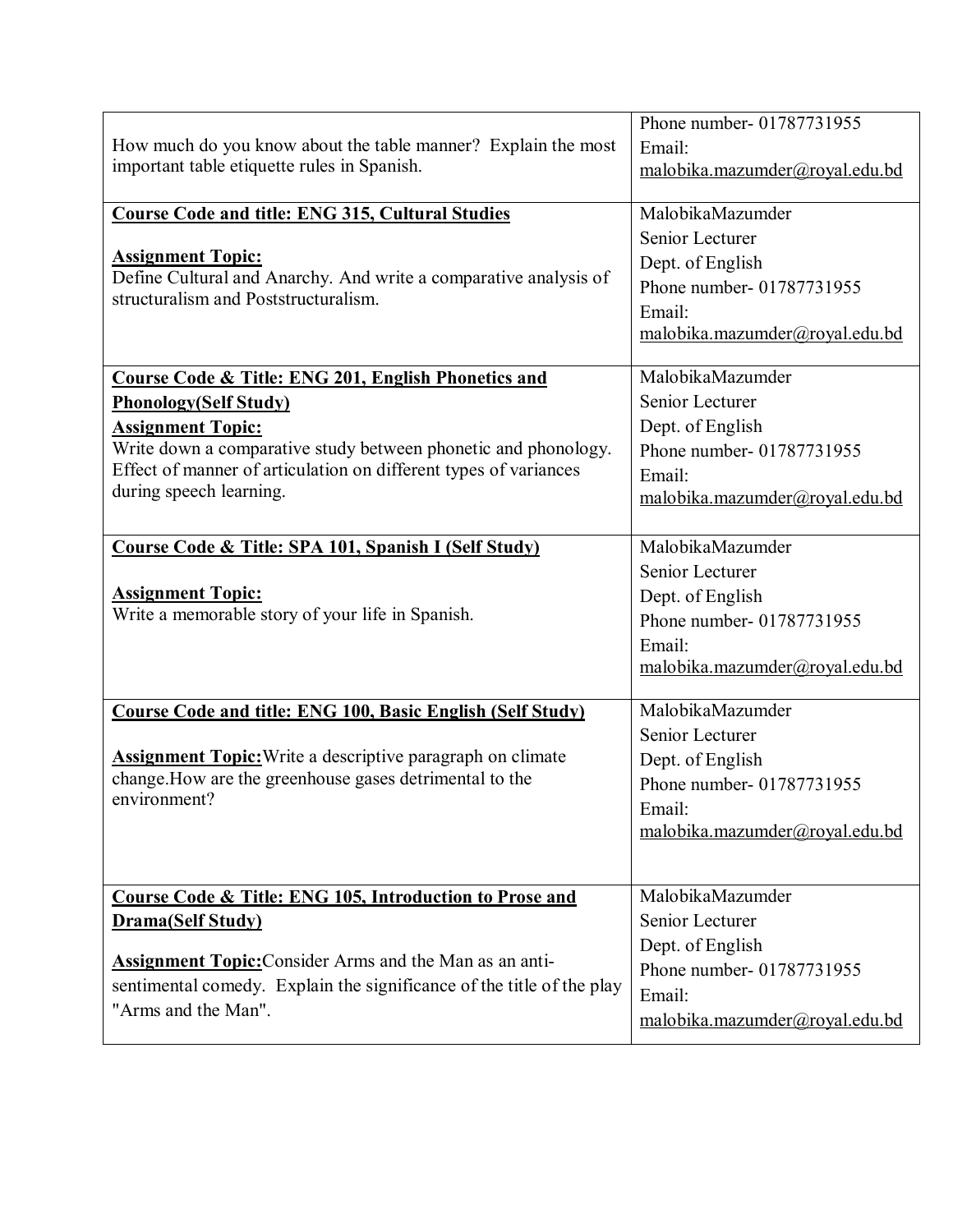| How much do you know about the table manner? Explain the most<br>important table etiquette rules in Spanish.                                                                                                              | Phone number- 01787731955<br>Email:<br>malobika.mazumder@royal.edu.bd                                        |
|---------------------------------------------------------------------------------------------------------------------------------------------------------------------------------------------------------------------------|--------------------------------------------------------------------------------------------------------------|
| <b>Course Code and title: ENG 315, Cultural Studies</b>                                                                                                                                                                   | MalobikaMazumder                                                                                             |
| <b>Assignment Topic:</b><br>Define Cultural and Anarchy. And write a comparative analysis of<br>structuralism and Poststructuralism.                                                                                      | Senior Lecturer<br>Dept. of English<br>Phone number-01787731955<br>Email:<br>malobika.mazumder@royal.edu.bd  |
| Course Code & Title: ENG 201, English Phonetics and                                                                                                                                                                       | MalobikaMazumder                                                                                             |
| <b>Phonology(Self Study)</b><br><b>Assignment Topic:</b><br>Write down a comparative study between phonetic and phonology.<br>Effect of manner of articulation on different types of variances<br>during speech learning. | Senior Lecturer<br>Dept. of English<br>Phone number- 01787731955<br>Email:<br>malobika.mazumder@royal.edu.bd |
| Course Code & Title: SPA 101, Spanish I (Self Study)                                                                                                                                                                      | MalobikaMazumder                                                                                             |
| <b>Assignment Topic:</b><br>Write a memorable story of your life in Spanish.                                                                                                                                              | Senior Lecturer<br>Dept. of English<br>Phone number- 01787731955<br>Email:<br>malobika.mazumder@royal.edu.bd |
| <b>Course Code and title: ENG 100, Basic English (Self Study)</b>                                                                                                                                                         | MalobikaMazumder                                                                                             |
| <b>Assignment Topic:</b> Write a descriptive paragraph on climate<br>change. How are the greenhouse gases detrimental to the<br>environment?                                                                              | Senior Lecturer<br>Dept. of English<br>Phone number- 01787731955<br>Email:<br>malobika.mazumder@royal.edu.bd |
| <b>Course Code &amp; Title: ENG 105, Introduction to Prose and</b>                                                                                                                                                        | MalobikaMazumder                                                                                             |
| <b>Drama(Self Study)</b>                                                                                                                                                                                                  | Senior Lecturer<br>Dept. of English                                                                          |
| <b>Assignment Topic: Consider Arms and the Man as an anti-</b><br>sentimental comedy. Explain the significance of the title of the play<br>"Arms and the Man".                                                            | Phone number-01787731955<br>Email:<br>malobika.mazumder@royal.edu.bd                                         |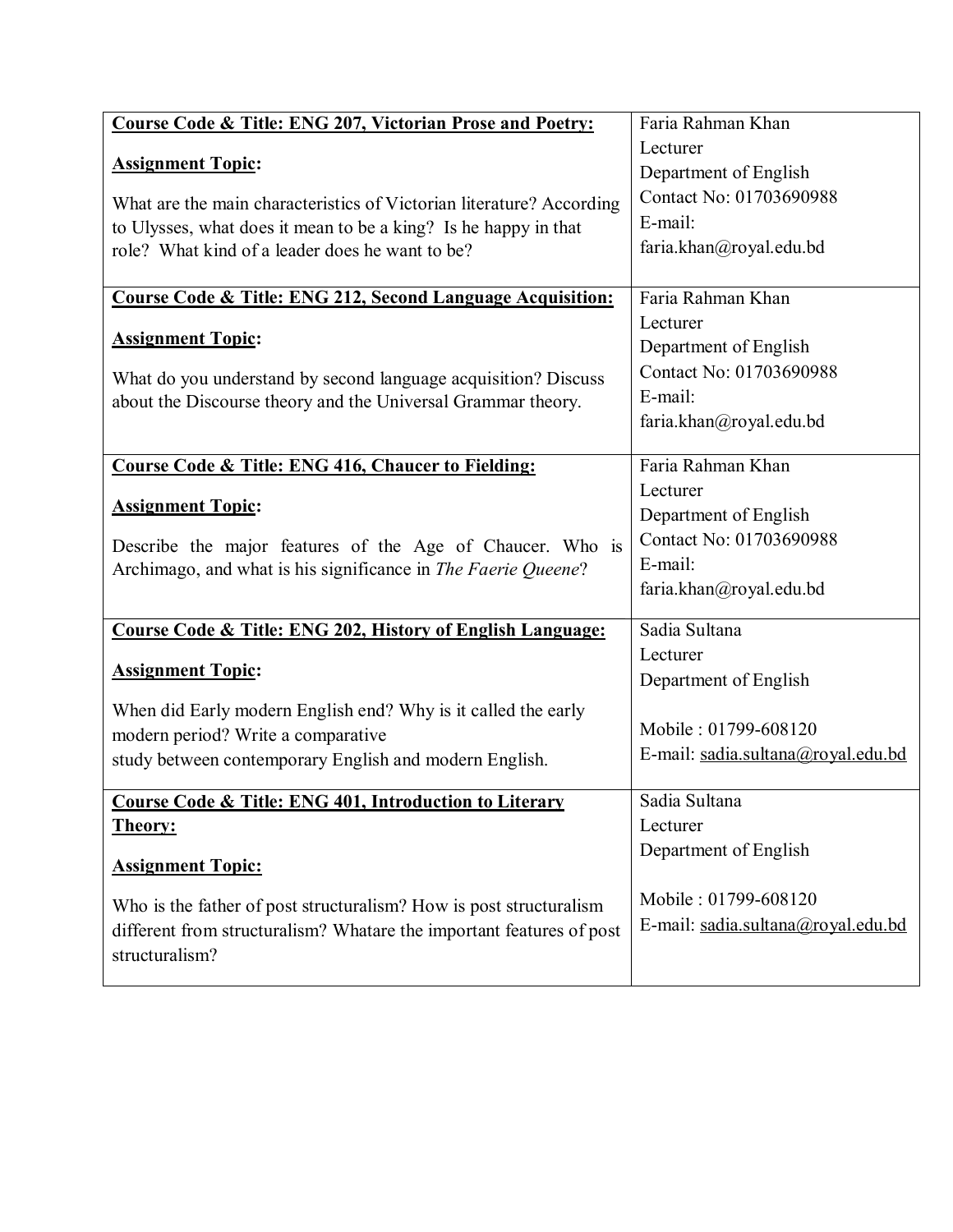| <b>Course Code &amp; Title: ENG 207, Victorian Prose and Poetry:</b>                                | Faria Rahman Khan                  |
|-----------------------------------------------------------------------------------------------------|------------------------------------|
|                                                                                                     | Lecturer                           |
| <b>Assignment Topic:</b>                                                                            | Department of English              |
| What are the main characteristics of Victorian literature? According                                | Contact No: 01703690988            |
| to Ulysses, what does it mean to be a king? Is he happy in that                                     | E-mail:                            |
| role? What kind of a leader does he want to be?                                                     | faria.khan@royal.edu.bd            |
|                                                                                                     |                                    |
| Course Code & Title: ENG 212, Second Language Acquisition:                                          | Faria Rahman Khan                  |
|                                                                                                     | Lecturer                           |
| <b>Assignment Topic:</b>                                                                            | Department of English              |
| What do you understand by second language acquisition? Discuss                                      | Contact No: 01703690988            |
| about the Discourse theory and the Universal Grammar theory.                                        | E-mail:                            |
|                                                                                                     | faria.khan@royal.edu.bd            |
|                                                                                                     |                                    |
| Course Code & Title: ENG 416, Chaucer to Fielding:                                                  | Faria Rahman Khan                  |
| <b>Assignment Topic:</b>                                                                            | Lecturer                           |
|                                                                                                     | Department of English              |
| Describe the major features of the Age of Chaucer. Who is                                           | Contact No: 01703690988            |
| Archimago, and what is his significance in The Faerie Queene?                                       | E-mail:                            |
|                                                                                                     | faria.khan@royal.edu.bd            |
| Course Code & Title: ENG 202, History of English Language:                                          | Sadia Sultana                      |
|                                                                                                     | Lecturer                           |
| <b>Assignment Topic:</b>                                                                            | Department of English              |
|                                                                                                     |                                    |
| When did Early modern English end? Why is it called the early<br>modern period? Write a comparative | Mobile: 01799-608120               |
| study between contemporary English and modern English.                                              | E-mail: sadia.sultana@royal.edu.bd |
|                                                                                                     |                                    |
| Course Code & Title: ENG 401, Introduction to Literary                                              | Sadia Sultana                      |
| <b>Theory:</b>                                                                                      | Lecturer                           |
|                                                                                                     | Department of English              |
| <b>Assignment Topic:</b>                                                                            |                                    |
| Who is the father of post structuralism? How is post structuralism                                  | Mobile: 01799-608120               |
| different from structuralism? Whatare the important features of post                                | E-mail: sadia.sultana@royal.edu.bd |
| structuralism?                                                                                      |                                    |
|                                                                                                     |                                    |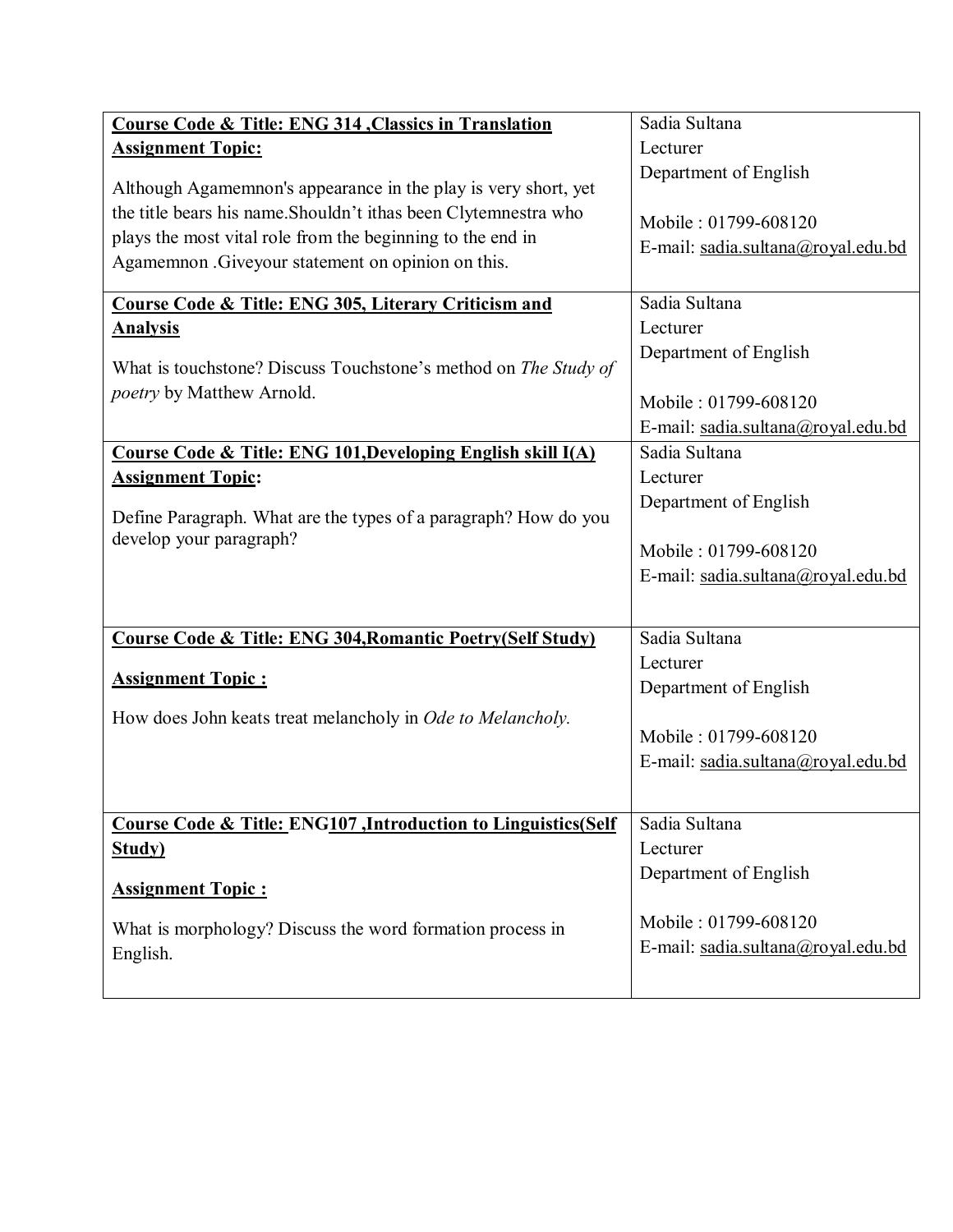| <b>Course Code &amp; Title: ENG 314, Classics in Translation</b>         | Sadia Sultana                      |
|--------------------------------------------------------------------------|------------------------------------|
| <b>Assignment Topic:</b>                                                 | Lecturer                           |
| Although Agamemnon's appearance in the play is very short, yet           | Department of English              |
| the title bears his name. Shouldn't ithas been Clytemnestra who          |                                    |
| plays the most vital role from the beginning to the end in               | Mobile: 01799-608120               |
| Agamemnon .Giveyour statement on opinion on this.                        | E-mail: sadia.sultana@royal.edu.bd |
|                                                                          |                                    |
| Course Code & Title: ENG 305, Literary Criticism and                     | Sadia Sultana                      |
| <b>Analysis</b>                                                          | Lecturer                           |
| What is touchstone? Discuss Touchstone's method on The Study of          | Department of English              |
| poetry by Matthew Arnold.                                                |                                    |
|                                                                          | Mobile: 01799-608120               |
|                                                                          | E-mail: sadia.sultana@royal.edu.bd |
| Course Code & Title: ENG 101, Developing English skill I(A)              | Sadia Sultana                      |
| <b>Assignment Topic:</b>                                                 | Lecturer                           |
| Define Paragraph. What are the types of a paragraph? How do you          | Department of English              |
| develop your paragraph?                                                  |                                    |
|                                                                          | Mobile: 01799-608120               |
|                                                                          | E-mail: sadia.sultana@royal.edu.bd |
|                                                                          |                                    |
| Course Code & Title: ENG 304, Romantic Poetry (Self Study)               | Sadia Sultana                      |
|                                                                          | Lecturer                           |
| <b>Assignment Topic:</b>                                                 | Department of English              |
| How does John keats treat melancholy in Ode to Melancholy.               |                                    |
|                                                                          | Mobile: 01799-608120               |
|                                                                          | E-mail: sadia.sultana@royal.edu.bd |
|                                                                          |                                    |
| <b>Course Code &amp; Title: ENG107, Introduction to Linguistics(Self</b> | Sadia Sultana                      |
| Study)                                                                   | Lecturer                           |
|                                                                          | Department of English              |
| <b>Assignment Topic:</b>                                                 |                                    |
| What is morphology? Discuss the word formation process in                | Mobile: 01799-608120               |
| English.                                                                 | E-mail: sadia.sultana@royal.edu.bd |
|                                                                          |                                    |
|                                                                          |                                    |